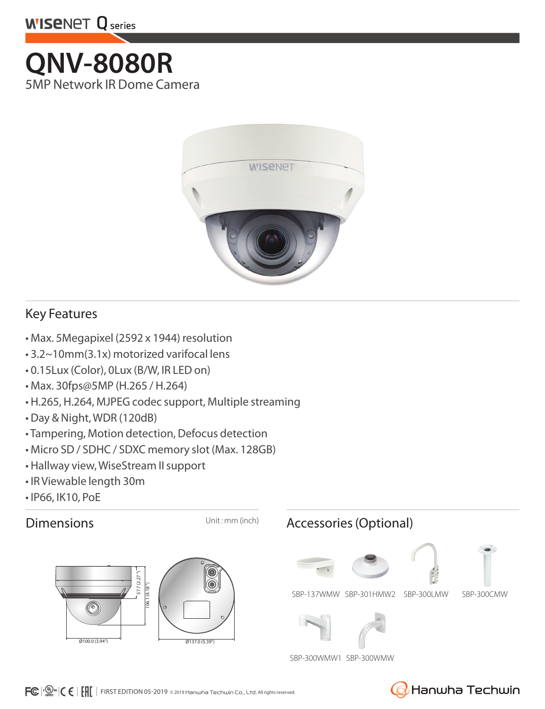

# **QNV-8080R** 5MP Network IR Dome Camera



## Key Features

- Max. 5Megapixel (2592 x 1944) resolution
- 3.2~10mm(3.1x) motorized varifocal lens
- 0.15Lux (Color), 0Lux (B/W, IR LED on)
- Max. 30fps@5MP (H.265 / H.264)
- H.265, H.264, MJPEG codec support, Multiple streaming
- Day & Night, WDR (120dB)
- Tampering, Motion detection, Defocus detection
- Micro SD / SDHC / SDXC memory slot (Max. 128GB)
- Hallway view, WiseStream II support
- IR Viewable length 30m
- IP66, IK10, PoE





## Dimensions Unit: mm (inch) Accessories (Optional)







SBP-137WMW SBP-301HMW2 SBP-300LMW



SBP-300WMW1 SBP-300WMW



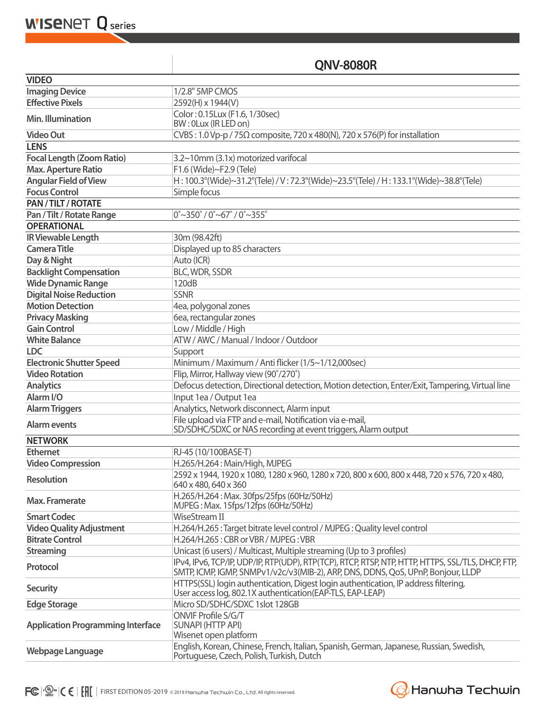**WISENET Q** series

## **QNV-8080R**

| <b>VIDEO</b>                             |                                                                                                                                                                                       |
|------------------------------------------|---------------------------------------------------------------------------------------------------------------------------------------------------------------------------------------|
| <b>Imaging Device</b>                    | 1/2.8" 5MP CMOS                                                                                                                                                                       |
| <b>Effective Pixels</b>                  | 2592(H) x 1944(V)                                                                                                                                                                     |
|                                          | Color: 0.15Lux (F1.6, 1/30sec)                                                                                                                                                        |
| Min. Illumination                        | BW: 0Lux (IR LED on)                                                                                                                                                                  |
| <b>Video Out</b>                         | CVBS: 1.0 Vp-p / 75 $\Omega$ composite, 720 x 480(N), 720 x 576(P) for installation                                                                                                   |
| <b>LENS</b>                              |                                                                                                                                                                                       |
| <b>Focal Length (Zoom Ratio)</b>         | 3.2~10mm (3.1x) motorized varifocal                                                                                                                                                   |
| <b>Max. Aperture Ratio</b>               | F1.6 (Wide)~F2.9 (Tele)                                                                                                                                                               |
| <b>Angular Field of View</b>             | H: 100.3°(Wide)~31.2°(Tele) / V: 72.3°(Wide)~23.5°(Tele) / H: 133.1°(Wide)~38.8°(Tele)                                                                                                |
| <b>Focus Control</b>                     | Simple focus                                                                                                                                                                          |
| PAN / TILT / ROTATE                      |                                                                                                                                                                                       |
| Pan / Tilt / Rotate Range                | $0^{\circ}$ ~350 $^{\circ}$ / 0 $^{\circ}$ ~67 $^{\circ}$ / 0 $^{\circ}$ ~355 $^{\circ}$                                                                                              |
| <b>OPERATIONAL</b>                       |                                                                                                                                                                                       |
| <b>IR Viewable Length</b>                | 30m (98.42ft)                                                                                                                                                                         |
| <b>Camera Title</b>                      | Displayed up to 85 characters                                                                                                                                                         |
| Day & Night                              | Auto (ICR)                                                                                                                                                                            |
| <b>Backlight Compensation</b>            | BLC, WDR, SSDR                                                                                                                                                                        |
| <b>Wide Dynamic Range</b>                | 120dB                                                                                                                                                                                 |
| <b>Digital Noise Reduction</b>           | <b>SSNR</b>                                                                                                                                                                           |
| <b>Motion Detection</b>                  | 4ea, polygonal zones                                                                                                                                                                  |
| <b>Privacy Masking</b>                   | 6ea, rectangular zones                                                                                                                                                                |
| <b>Gain Control</b>                      | Low / Middle / High                                                                                                                                                                   |
| <b>White Balance</b>                     | ATW / AWC / Manual / Indoor / Outdoor                                                                                                                                                 |
| <b>LDC</b>                               | Support                                                                                                                                                                               |
| <b>Electronic Shutter Speed</b>          | Minimum / Maximum / Anti flicker (1/5~1/12,000sec)                                                                                                                                    |
| <b>Video Rotation</b>                    | Flip, Mirror, Hallway view (90°/270°)                                                                                                                                                 |
| <b>Analytics</b>                         | Defocus detection, Directional detection, Motion detection, Enter/Exit, Tampering, Virtual line                                                                                       |
| Alarm <sub>I/O</sub>                     | Input 1ea / Output 1ea                                                                                                                                                                |
| <b>Alarm Triggers</b>                    | Analytics, Network disconnect, Alarm input                                                                                                                                            |
| <b>Alarm events</b>                      | File upload via FTP and e-mail, Notification via e-mail,<br>SD/SDHC/SDXC or NAS recording at event triggers, Alarm output                                                             |
| <b>NETWORK</b>                           |                                                                                                                                                                                       |
| <b>Ethernet</b>                          | RJ-45 (10/100BASE-T)                                                                                                                                                                  |
| <b>Video Compression</b>                 | H.265/H.264: Main/High, MJPEG                                                                                                                                                         |
| <b>Resolution</b>                        | 2592 x 1944, 1920 x 1080, 1280 x 960, 1280 x 720, 800 x 600, 800 x 448, 720 x 576, 720 x 480,<br>640 x 480, 640 x 360                                                                 |
| Max. Framerate                           | H.265/H.264: Max. 30fps/25fps (60Hz/50Hz)<br>MJPEG: Max. 15fps/12fps (60Hz/50Hz)                                                                                                      |
| <b>Smart Codec</b>                       | WiseStream II                                                                                                                                                                         |
| <b>Video Quality Adjustment</b>          | H.264/H.265 : Target bitrate level control / MJPEG : Quality level control                                                                                                            |
| <b>Bitrate Control</b>                   | H.264/H.265: CBR or VBR / MJPEG: VBR                                                                                                                                                  |
| <b>Streaming</b>                         | Unicast (6 users) / Multicast, Multiple streaming (Up to 3 profiles)                                                                                                                  |
| Protocol                                 | IPv4, IPv6, TCP/IP, UDP/IP, RTP(UDP), RTP(TCP), RTCP, RTSP, NTP, HTTP, HTTPS, SSL/TLS, DHCP, FTP,<br>SMTP, ICMP, IGMP, SNMPv1/v2c/v3(MIB-2), ARP, DNS, DDNS, QoS, UPnP, Bonjour, LLDP |
| <b>Security</b>                          | HTTPS(SSL) login authentication, Digest login authentication, IP address filtering,<br>User access log, 802.1X authentication (EAP-TLS, EAP-LEAP)                                     |
| <b>Edge Storage</b>                      | Micro SD/SDHC/SDXC 1slot 128GB                                                                                                                                                        |
| <b>Application Programming Interface</b> | ONVIF Profile S/G/T<br><b>SUNAPI (HTTP API)</b><br>Wisenet open platform                                                                                                              |
| Webpage Language                         | English, Korean, Chinese, French, Italian, Spanish, German, Japanese, Russian, Swedish,<br>Portuguese, Czech, Polish, Turkish, Dutch                                                  |